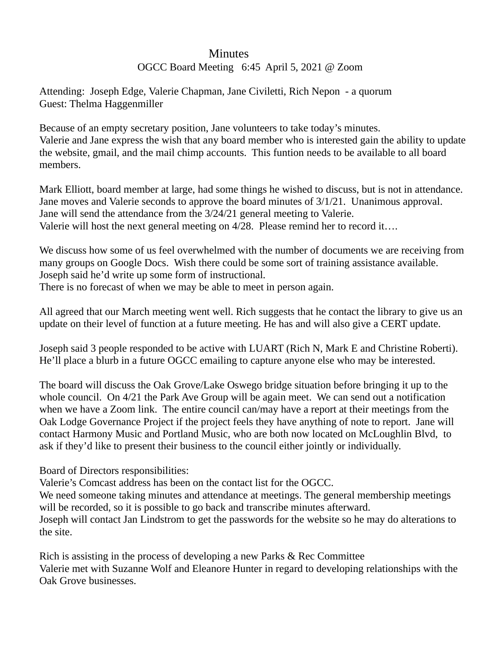## **Minutes**

## OGCC Board Meeting 6:45 April 5, 2021 @ Zoom

Attending: Joseph Edge, Valerie Chapman, Jane Civiletti, Rich Nepon - a quorum Guest: Thelma Haggenmiller

Because of an empty secretary position, Jane volunteers to take today's minutes. Valerie and Jane express the wish that any board member who is interested gain the ability to update the website, gmail, and the mail chimp accounts. This funtion needs to be available to all board members.

Mark Elliott, board member at large, had some things he wished to discuss, but is not in attendance. Jane moves and Valerie seconds to approve the board minutes of 3/1/21. Unanimous approval. Jane will send the attendance from the 3/24/21 general meeting to Valerie. Valerie will host the next general meeting on 4/28. Please remind her to record it….

We discuss how some of us feel overwhelmed with the number of documents we are receiving from many groups on Google Docs. Wish there could be some sort of training assistance available. Joseph said he'd write up some form of instructional.

There is no forecast of when we may be able to meet in person again.

All agreed that our March meeting went well. Rich suggests that he contact the library to give us an update on their level of function at a future meeting. He has and will also give a CERT update.

Joseph said 3 people responded to be active with LUART (Rich N, Mark E and Christine Roberti). He'll place a blurb in a future OGCC emailing to capture anyone else who may be interested.

The board will discuss the Oak Grove/Lake Oswego bridge situation before bringing it up to the whole council. On 4/21 the Park Ave Group will be again meet. We can send out a notification when we have a Zoom link. The entire council can/may have a report at their meetings from the Oak Lodge Governance Project if the project feels they have anything of note to report. Jane will contact Harmony Music and Portland Music, who are both now located on McLoughlin Blvd, to ask if they'd like to present their business to the council either jointly or individually.

Board of Directors responsibilities:

Valerie's Comcast address has been on the contact list for the OGCC.

We need someone taking minutes and attendance at meetings. The general membership meetings will be recorded, so it is possible to go back and transcribe minutes afterward.

Joseph will contact Jan Lindstrom to get the passwords for the website so he may do alterations to the site.

Rich is assisting in the process of developing a new Parks & Rec Committee Valerie met with Suzanne Wolf and Eleanore Hunter in regard to developing relationships with the Oak Grove businesses.